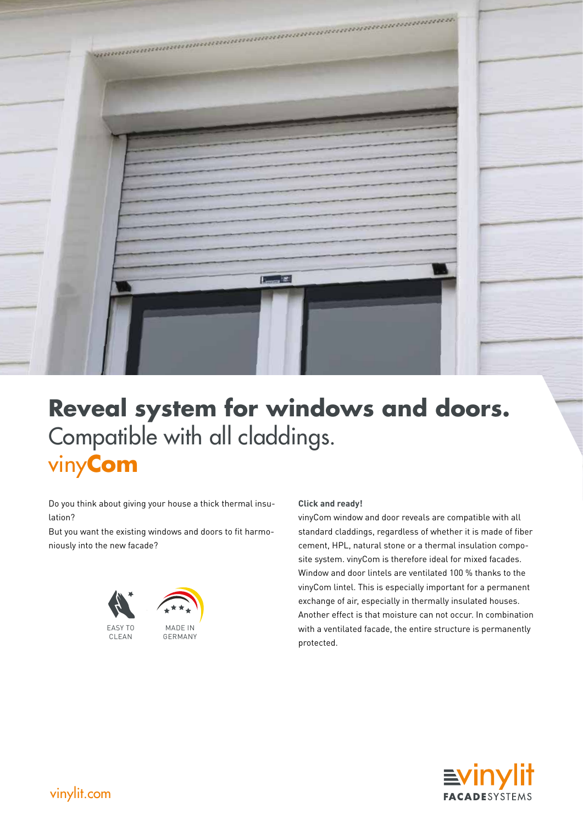

## **Reveal system for windows and doors.** Compatible with all claddings. viny**Com**

Do you think about giving your house a thick thermal insulation?

But you want the existing windows and doors to fit harmoniously into the new facade?



## **Click and ready!**

vinyCom window and door reveals are compatible with all standard claddings, regardless of whether it is made of fiber cement, HPL, natural stone or a thermal insulation composite system. vinyCom is therefore ideal for mixed facades. Window and door lintels are ventilated 100 % thanks to the vinyCom lintel. This is especially important for a permanent exchange of air, especially in thermally insulated houses. Another effect is that moisture can not occur. In combination with a ventilated facade, the entire structure is permanently protected.